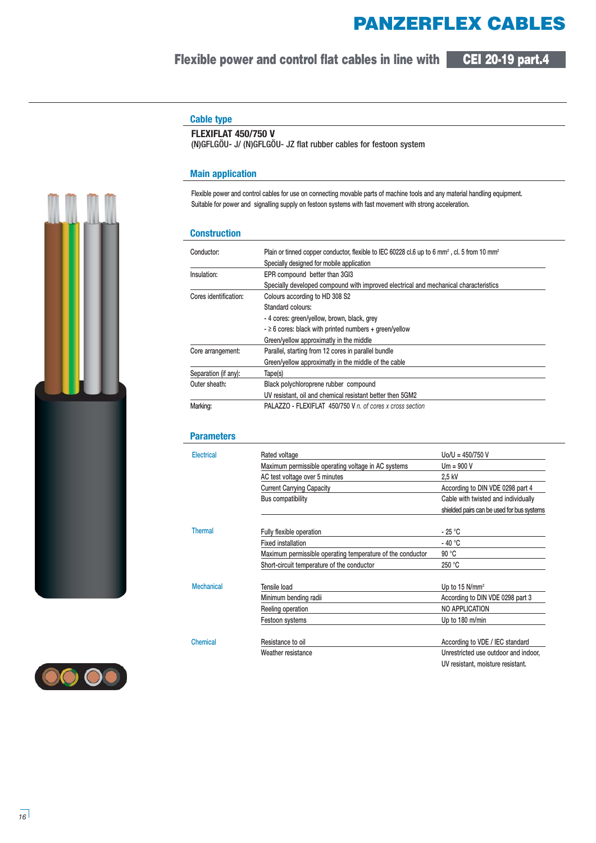# **PANZERFLEX CABLES**

## **Flexible power and control flat cables in line with CEI 20-19 part.4**



## **Cable type**

### **FLEXIFLAT 450/750 V**

(N)GFLGÖU- J/ (N)GFLGÖU- JZ flat rubber cables for festoon system

### **Main application**

**Flexible power and control cables for use on connecting movable parts of machine tools and any material handling equipment. Suitable for power and signalling supply on festoon systems with fast movement with strong acceleration.**

#### **Construction**

| Conductor:            | Plain or tinned copper conductor, flexible to IEC 60228 cl.6 up to 6 mm <sup>2</sup> , cl. 5 from 10 mm <sup>2</sup> |  |  |
|-----------------------|----------------------------------------------------------------------------------------------------------------------|--|--|
|                       | Specially designed for mobile application                                                                            |  |  |
| Insulation:           | EPR compound better than 3GI3                                                                                        |  |  |
|                       | Specially developed compound with improved electrical and mechanical characteristics                                 |  |  |
| Cores identification: | Colours according to HD 308 S2                                                                                       |  |  |
|                       | Standard colours:                                                                                                    |  |  |
|                       | - 4 cores: green/yellow, brown, black, grey                                                                          |  |  |
|                       | $ \geq$ 6 cores: black with printed numbers + green/yellow                                                           |  |  |
|                       | Green/yellow approximatly in the middle                                                                              |  |  |
| Core arrangement:     | Parallel, starting from 12 cores in parallel bundle                                                                  |  |  |
|                       | Green/yellow approximatly in the middle of the cable                                                                 |  |  |
| Separation (if any):  | Tape(s)                                                                                                              |  |  |
| Outer sheath:         | Black polychloroprene rubber compound                                                                                |  |  |
|                       | UV resistant, oil and chemical resistant better then 5GM2                                                            |  |  |
| Marking:              | PALAZZO - FLEXIFLAT 450/750 V n. of cores x cross section                                                            |  |  |

#### **Parameters**

| Electrical        | Rated voltage                                              | $U_0/U = 450/750 V$                        |  |
|-------------------|------------------------------------------------------------|--------------------------------------------|--|
|                   | Maximum permissible operating voltage in AC systems        | $Um = 900 V$                               |  |
|                   | AC test voltage over 5 minutes                             | 2,5 kV                                     |  |
|                   | <b>Current Carrying Capacity</b>                           | According to DIN VDE 0298 part 4           |  |
|                   | Bus compatibility                                          | Cable with twisted and individually        |  |
|                   |                                                            | shielded pairs can be used for bus systems |  |
| <b>Thermal</b>    | Fully flexible operation                                   | $-25 °C$                                   |  |
|                   | <b>Fixed installation</b>                                  | $-40 °C$                                   |  |
|                   | Maximum permissible operating temperature of the conductor | 90 °C                                      |  |
|                   | Short-circuit temperature of the conductor                 | 250 °C                                     |  |
| <b>Mechanical</b> | Tensile load                                               | Up to 15 $N/mm^2$                          |  |
|                   | Minimum bending radii                                      | According to DIN VDE 0298 part 3           |  |
|                   | Reeling operation                                          | NO APPLICATION                             |  |
|                   | Festoon systems                                            | Up to 180 m/min                            |  |
| Chemical          | Resistance to oil                                          | According to VDE / IEC standard            |  |
|                   | Weather resistance                                         | Unrestricted use outdoor and indoor,       |  |
|                   |                                                            | UV resistant, moisture resistant.          |  |